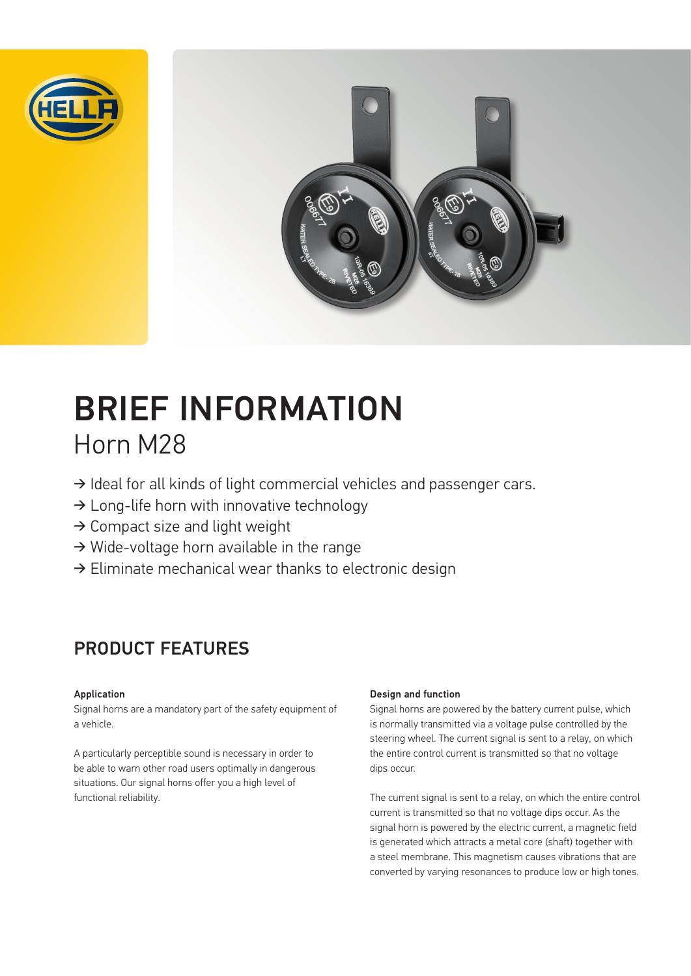



# BRIEF INFORMATION Horn M28

- ➔ Ideal for all kinds of light commercial vehicles and passenger cars.
- $\rightarrow$  Long-life horn with innovative technology
- ➔ Compact size and light weight
- ➔ Wide-voltage horn available in the range
- ➔ Eliminate mechanical wear thanks to electronic design

### PRODUCT FEATURES

#### Application

Signal horns are a mandatory part of the safety equipment of a vehicle.

A particularly perceptible sound is necessary in order to be able to warn other road users optimally in dangerous situations. Our signal horns offer you a high level of functional reliability.

#### Design and function

Signal horns are powered by the battery current pulse, which is normally transmitted via a voltage pulse controlled by the steering wheel. The current signal is sent to a relay, on which the entire control current is transmitted so that no voltage dips occur.

The current signal is sent to a relay, on which the entire control current is transmitted so that no voltage dips occur. As the signal horn is powered by the electric current, a magnetic field is generated which attracts a metal core (shaft) together with a steel membrane. This magnetism causes vibrations that are converted by varying resonances to produce low or high tones.